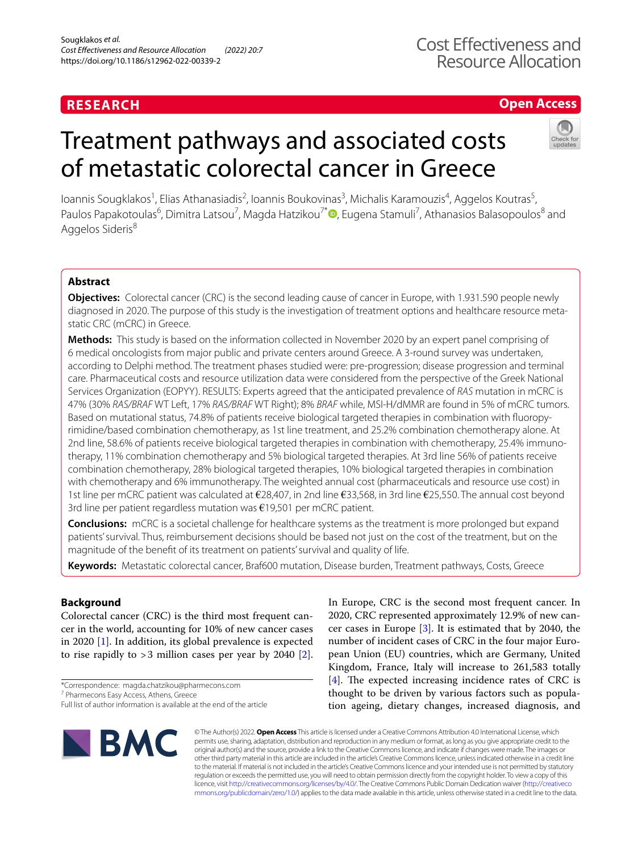# **RESEARCH**

# **Open Access**

# Treatment pathways and associated costs of metastatic colorectal cancer in Greece



loannis Sougklakos<sup>1</sup>, Elias Athanasiadis<sup>2</sup>, Ioannis Boukovinas<sup>3</sup>, Michalis Karamouzis<sup>4</sup>, Aggelos Koutras<sup>5</sup>, Paulos Papakotoulas<sup>6</sup>, Dimitra Latsou<sup>7</sup>, Magda Hatzikou<sup>7[\\*](http://orcid.org/0000-0002-9451-0102)</sup>®, Eugena Stamuli<sup>7</sup>, Athanasios Balasopoulos<sup>8</sup> and Aggelos Sideris<sup>8</sup>

# **Abstract**

**Objectives:** Colorectal cancer (CRC) is the second leading cause of cancer in Europe, with 1.931.590 people newly diagnosed in 2020. The purpose of this study is the investigation of treatment options and healthcare resource metastatic CRC (mCRC) in Greece.

**Methods:** This study is based on the information collected in November 2020 by an expert panel comprising of 6 medical oncologists from major public and private centers around Greece. A 3-round survey was undertaken, according to Delphi method. The treatment phases studied were: pre-progression; disease progression and terminal care. Pharmaceutical costs and resource utilization data were considered from the perspective of the Greek National Services Organization (EOPYY). RESULTS: Experts agreed that the anticipated prevalence of *RAS* mutation in mCRC is 47% (30% *RAS/BRAF* WT Left, 17% *RAS/BRAF* WT Right); 8% *BRAF* while, MSI-H/dMMR are found in 5% of mCRC tumors. Based on mutational status, 74.8% of patients receive biological targeted therapies in combination with fuoropyrimidine/based combination chemotherapy, as 1st line treatment, and 25.2% combination chemotherapy alone. At 2nd line, 58.6% of patients receive biological targeted therapies in combination with chemotherapy, 25.4% immunotherapy, 11% combination chemotherapy and 5% biological targeted therapies. At 3rd line 56% of patients receive combination chemotherapy, 28% biological targeted therapies, 10% biological targeted therapies in combination with chemotherapy and 6% immunotherapy. The weighted annual cost (pharmaceuticals and resource use cost) in 1st line per mCRC patient was calculated at €28,407, in 2nd line €33,568, in 3rd line €25,550. The annual cost beyond 3rd line per patient regardless mutation was  $\epsilon$ 19,501 per mCRC patient.

**Conclusions:** mCRC is a societal challenge for healthcare systems as the treatment is more prolonged but expand patients' survival. Thus, reimbursement decisions should be based not just on the cost of the treatment, but on the magnitude of the beneft of its treatment on patients' survival and quality of life.

**Keywords:** Metastatic colorectal cancer, Braf600 mutation, Disease burden, Treatment pathways, Costs, Greece

# **Background**

Colorectal cancer (CRC) is the third most frequent cancer in the world, accounting for 10% of new cancer cases in 2020 [\[1](#page-8-0)]. In addition, its global prevalence is expected to rise rapidly to  $>3$  million cases per year by 2040 [\[2](#page-8-1)].

7 Pharmecons Easy Access, Athens, Greece

In Europe, CRC is the second most frequent cancer. In 2020, CRC represented approximately 12.9% of new cancer cases in Europe [\[3](#page-8-2)]. It is estimated that by 2040, the number of incident cases of CRC in the four major European Union (EU) countries, which are Germany, United Kingdom, France, Italy will increase to 261,583 totally  $[4]$  $[4]$ . The expected increasing incidence rates of CRC is thought to be driven by various factors such as population ageing, dietary changes, increased diagnosis, and



© The Author(s) 2022. **Open Access** This article is licensed under a Creative Commons Attribution 4.0 International License, which permits use, sharing, adaptation, distribution and reproduction in any medium or format, as long as you give appropriate credit to the original author(s) and the source, provide a link to the Creative Commons licence, and indicate if changes were made. The images or other third party material in this article are included in the article's Creative Commons licence, unless indicated otherwise in a credit line to the material. If material is not included in the article's Creative Commons licence and your intended use is not permitted by statutory regulation or exceeds the permitted use, you will need to obtain permission directly from the copyright holder. To view a copy of this licence, visit [http://creativecommons.org/licenses/by/4.0/.](http://creativecommons.org/licenses/by/4.0/) The Creative Commons Public Domain Dedication waiver ([http://creativeco](http://creativecommons.org/publicdomain/zero/1.0/) [mmons.org/publicdomain/zero/1.0/](http://creativecommons.org/publicdomain/zero/1.0/)) applies to the data made available in this article, unless otherwise stated in a credit line to the data.

<sup>\*</sup>Correspondence: magda.chatzikou@pharmecons.com

Full list of author information is available at the end of the article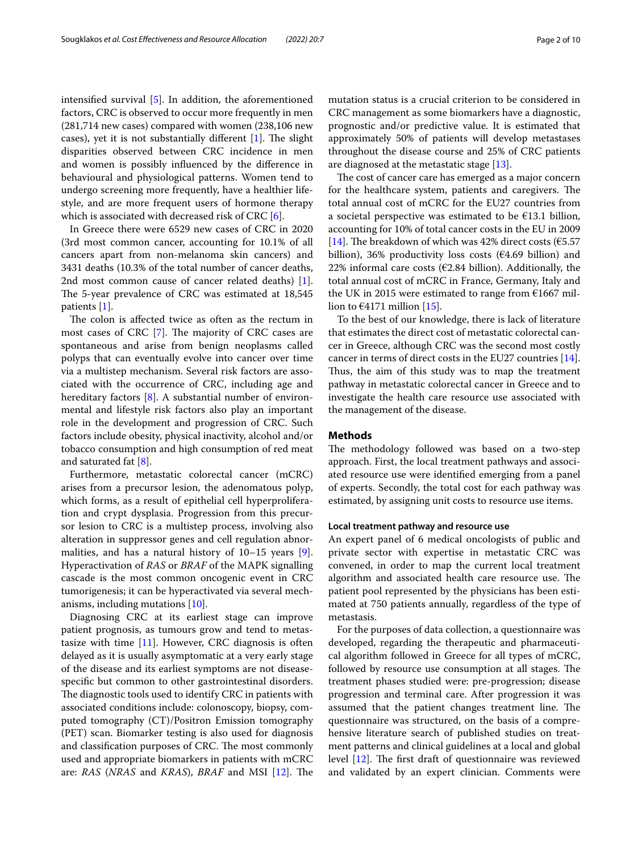intensifed survival [\[5](#page-8-4)]. In addition, the aforementioned factors, CRC is observed to occur more frequently in men (281,714 new cases) compared with women (238,106 new cases), yet it is not substantially different  $[1]$  $[1]$  $[1]$ . The slight disparities observed between CRC incidence in men and women is possibly infuenced by the diference in behavioural and physiological patterns. Women tend to undergo screening more frequently, have a healthier lifestyle, and are more frequent users of hormone therapy which is associated with decreased risk of CRC [[6\]](#page-8-5).

In Greece there were 6529 new cases of CRC in 2020 (3rd most common cancer, accounting for 10.1% of all cancers apart from non-melanoma skin cancers) and 3431 deaths (10.3% of the total number of cancer deaths, 2nd most common cause of cancer related deaths) [\[1](#page-8-0)]. The 5-year prevalence of CRC was estimated at 18,545 patients [[1\]](#page-8-0).

The colon is affected twice as often as the rectum in most cases of CRC  $[7]$  $[7]$ . The majority of CRC cases are spontaneous and arise from benign neoplasms called polyps that can eventually evolve into cancer over time via a multistep mechanism. Several risk factors are associated with the occurrence of CRC, including age and hereditary factors [[8\]](#page-8-7). A substantial number of environmental and lifestyle risk factors also play an important role in the development and progression of CRC. Such factors include obesity, physical inactivity, alcohol and/or tobacco consumption and high consumption of red meat and saturated fat [[8](#page-8-7)].

Furthermore, metastatic colorectal cancer (mCRC) arises from a precursor lesion, the adenomatous polyp, which forms, as a result of epithelial cell hyperproliferation and crypt dysplasia. Progression from this precursor lesion to CRC is a multistep process, involving also alteration in suppressor genes and cell regulation abnormalities, and has a natural history of 10–15 years [\[9](#page-8-8)]. Hyperactivation of *RAS* or *BRAF* of the MAPK signalling cascade is the most common oncogenic event in CRC tumorigenesis; it can be hyperactivated via several mechanisms, including mutations [[10](#page-8-9)].

Diagnosing CRC at its earliest stage can improve patient prognosis, as tumours grow and tend to metastasize with time [[11](#page-8-10)]. However, CRC diagnosis is often delayed as it is usually asymptomatic at a very early stage of the disease and its earliest symptoms are not diseasespecifc but common to other gastrointestinal disorders. The diagnostic tools used to identify CRC in patients with associated conditions include: colonoscopy, biopsy, computed tomography (CT)/Positron Emission tomography (PET) scan. Biomarker testing is also used for diagnosis and classification purposes of CRC. The most commonly used and appropriate biomarkers in patients with mCRC are: *RAS* (*NRAS* and *KRAS*), *BRAF* and MSI [[12\]](#page-8-11). The mutation status is a crucial criterion to be considered in CRC management as some biomarkers have a diagnostic, prognostic and/or predictive value. It is estimated that approximately 50% of patients will develop metastases throughout the disease course and 25% of CRC patients are diagnosed at the metastatic stage [[13\]](#page-8-12).

The cost of cancer care has emerged as a major concern for the healthcare system, patients and caregivers. The total annual cost of mCRC for the EU27 countries from a societal perspective was estimated to be €13.1 billion, accounting for 10% of total cancer costs in the EU in 2009 [[14\]](#page-8-13). The breakdown of which was 42% direct costs ( $\epsilon$ 5.57 billion), 36% productivity loss costs ( $E4.69$  billion) and 22% informal care costs ( $\epsilon$ 2.84 billion). Additionally, the total annual cost of mCRC in France, Germany, Italy and the UK in 2015 were estimated to range from  $E1667$  million to  $\epsilon$ 4171 million [\[15\]](#page-8-14).

To the best of our knowledge, there is lack of literature that estimates the direct cost of metastatic colorectal cancer in Greece, although CRC was the second most costly cancer in terms of direct costs in the EU27 countries [\[14](#page-8-13)]. Thus, the aim of this study was to map the treatment pathway in metastatic colorectal cancer in Greece and to investigate the health care resource use associated with the management of the disease.

## **Methods**

The methodology followed was based on a two-step approach. First, the local treatment pathways and associated resource use were identifed emerging from a panel of experts. Secondly, the total cost for each pathway was estimated, by assigning unit costs to resource use items.

## **Local treatment pathway and resource use**

An expert panel of 6 medical oncologists of public and private sector with expertise in metastatic CRC was convened, in order to map the current local treatment algorithm and associated health care resource use. The patient pool represented by the physicians has been estimated at 750 patients annually, regardless of the type of metastasis.

For the purposes of data collection, a questionnaire was developed, regarding the therapeutic and pharmaceutical algorithm followed in Greece for all types of mCRC, followed by resource use consumption at all stages. The treatment phases studied were: pre-progression; disease progression and terminal care. After progression it was assumed that the patient changes treatment line. The questionnaire was structured, on the basis of a comprehensive literature search of published studies on treatment patterns and clinical guidelines at a local and global level  $[12]$  $[12]$ . The first draft of questionnaire was reviewed and validated by an expert clinician. Comments were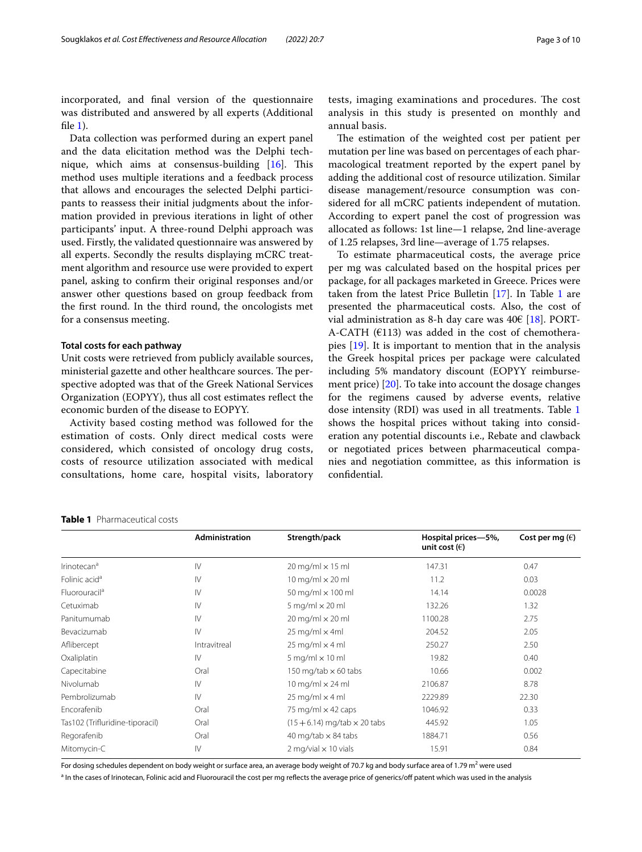incorporated, and fnal version of the questionnaire was distributed and answered by all experts (Additional file  $1$ ).

Data collection was performed during an expert panel and the data elicitation method was the Delphi technique, which aims at consensus-building  $[16]$  $[16]$ . This method uses multiple iterations and a feedback process that allows and encourages the selected Delphi participants to reassess their initial judgments about the information provided in previous iterations in light of other participants' input. A three-round Delphi approach was used. Firstly, the validated questionnaire was answered by all experts. Secondly the results displaying mCRC treatment algorithm and resource use were provided to expert panel, asking to confrm their original responses and/or answer other questions based on group feedback from the frst round. In the third round, the oncologists met for a consensus meeting.

## **Total costs for each pathway**

Unit costs were retrieved from publicly available sources, ministerial gazette and other healthcare sources. The perspective adopted was that of the Greek National Services Organization (EOPYY), thus all cost estimates refect the economic burden of the disease to EOPYY.

Activity based costing method was followed for the estimation of costs. Only direct medical costs were considered, which consisted of oncology drug costs, costs of resource utilization associated with medical consultations, home care, hospital visits, laboratory tests, imaging examinations and procedures. The cost analysis in this study is presented on monthly and annual basis.

The estimation of the weighted cost per patient per mutation per line was based on percentages of each pharmacological treatment reported by the expert panel by adding the additional cost of resource utilization. Similar disease management/resource consumption was considered for all mCRC patients independent of mutation. According to expert panel the cost of progression was allocated as follows: 1st line—1 relapse, 2nd line-average of 1.25 relapses, 3rd line—average of 1.75 relapses.

To estimate pharmaceutical costs, the average price per mg was calculated based on the hospital prices per package, for all packages marketed in Greece. Prices were taken from the latest Price Bulletin  $[17]$  $[17]$ . In Table [1](#page-2-0) are presented the pharmaceutical costs. Also, the cost of vial administration as 8-h day care was  $40 \in [18]$  $40 \in [18]$  $40 \in [18]$ . PORT-A-CATH ( $E$ 113) was added in the cost of chemotherapies [\[19](#page-8-19)]. It is important to mention that in the analysis the Greek hospital prices per package were calculated including 5% mandatory discount (EOPYY reimbursement price) [\[20](#page-8-20)]. To take into account the dosage changes for the regimens caused by adverse events, relative dose intensity (RDI) was used in all treatments. Table [1](#page-2-0) shows the hospital prices without taking into consideration any potential discounts i.e., Rebate and clawback or negotiated prices between pharmaceutical companies and negotiation committee, as this information is confdential.

### <span id="page-2-0"></span>**Table 1** Pharmaceutical costs

|                                 | <b>Administration</b> | Strength/pack                                 | Hospital prices-5%,<br>unit cost $(\epsilon)$ | Cost per mg $(\epsilon)$ |
|---------------------------------|-----------------------|-----------------------------------------------|-----------------------------------------------|--------------------------|
| Irinotecan <sup>a</sup>         | $\mathsf{IV}$         | $20 \,\mathrm{mg/ml} \times 15 \,\mathrm{ml}$ | 147.31                                        | 0.47                     |
| Folinic acid <sup>a</sup>       | $\mathsf{IV}$         | 10 mg/ml $\times$ 20 ml                       | 11.2                                          | 0.03                     |
| Fluorouracil <sup>a</sup>       | $\mathsf{IV}$         | 50 mg/ml × 100 ml                             | 14.14                                         | 0.0028                   |
| Cetuximab                       | $\mathsf{IV}$         | 5 mg/ml $\times$ 20 ml                        | 132.26                                        | 1.32                     |
| Panitumumab                     | $\mathsf{IV}$         | $20 \text{ mg/ml} \times 20 \text{ ml}$       | 1100.28                                       | 2.75                     |
| Bevacizumab                     | $\mathsf{IV}$         | $25 \text{ mg/ml} \times 4 \text{ml}$         | 204.52                                        | 2.05                     |
| Aflibercept                     | Intravitreal          | 25 mg/ml $\times$ 4 ml                        | 250.27                                        | 2.50                     |
| Oxaliplatin                     | $\mathsf{IV}$         | $5$ mg/ml $\times$ 10 ml                      | 19.82                                         | 0.40                     |
| Capecitabine                    | Oral                  | 150 mg/tab $\times$ 60 tabs                   | 10.66                                         | 0.002                    |
| Nivolumab                       | $\mathsf{IV}$         | 10 mg/ml $\times$ 24 ml                       | 2106.87                                       | 8.78                     |
| Pembrolizumab                   | $\mathsf{IV}$         | $25 \text{ mg/ml} \times 4 \text{ ml}$        | 2229.89                                       | 22.30                    |
| Encorafenib                     | Oral                  | 75 mg/m $\vert \times$ 42 caps                | 1046.92                                       | 0.33                     |
| Tas102 (Trifluridine-tiporacil) | Oral                  | $(15 + 6.14)$ mg/tab $\times$ 20 tabs         | 445.92                                        | 1.05                     |
| Regorafenib                     | Oral                  | 40 mg/tab $\times$ 84 tabs                    | 1884.71                                       | 0.56                     |
| Mitomycin-C                     | $\mathsf{IV}$         | 2 mg/vial $\times$ 10 vials                   | 15.91                                         | 0.84                     |

For dosing schedules dependent on body weight or surface area, an average body weight of 70.7 kg and body surface area of 1.79 m<sup>2</sup> were used

<sup>a</sup> In the cases of Irinotecan, Folinic acid and Fluorouracil the cost per mg reflects the average price of generics/off patent which was used in the analysis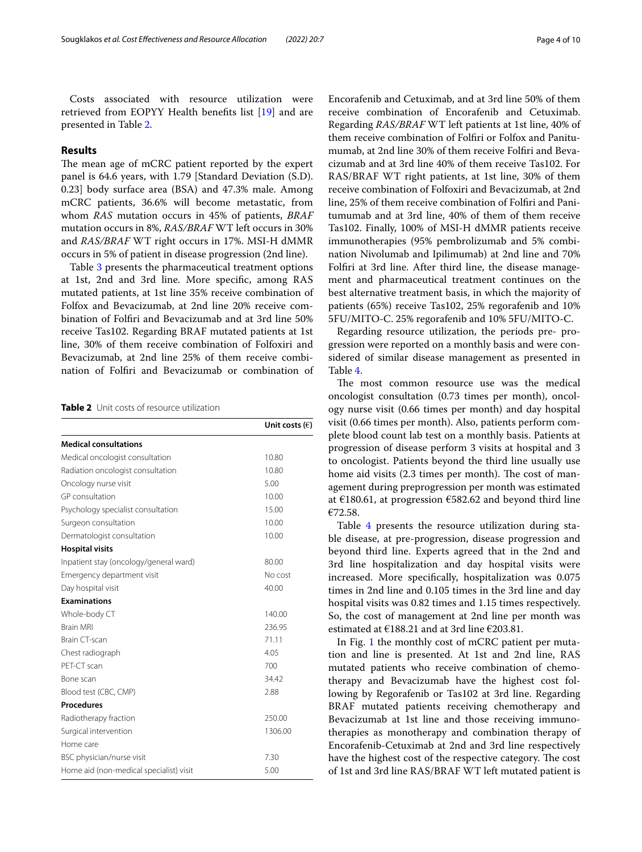Costs associated with resource utilization were retrieved from EOPYY Health benefts list [\[19](#page-8-19)] and are presented in Table [2](#page-3-0).

# **Results**

The mean age of mCRC patient reported by the expert panel is 64.6 years, with 1.79 [Standard Deviation (S.D). 0.23] body surface area (BSA) and 47.3% male. Among mCRC patients, 36.6% will become metastatic, from whom *RAS* mutation occurs in 45% of patients, *BRAF* mutation occurs in 8%, *RAS/BRAF* WT left occurs in 30% and *RAS/BRAF* WT right occurs in 17%. MSI-H dMMR occurs in 5% of patient in disease progression (2nd line).

Table [3](#page-4-0) presents the pharmaceutical treatment options at 1st, 2nd and 3rd line. More specifc, among RAS mutated patients, at 1st line 35% receive combination of Folfox and Bevacizumab, at 2nd line 20% receive combination of Folfri and Bevacizumab and at 3rd line 50% receive Tas102. Regarding BRAF mutated patients at 1st line, 30% of them receive combination of Folfoxiri and Bevacizumab, at 2nd line 25% of them receive combination of Folfri and Bevacizumab or combination of

<span id="page-3-0"></span>

|  |  | <b>Table 2</b> Unit costs of resource utilization |  |
|--|--|---------------------------------------------------|--|
|--|--|---------------------------------------------------|--|

|                                         | Unit costs $(\epsilon)$ |
|-----------------------------------------|-------------------------|
| <b>Medical consultations</b>            |                         |
| Medical oncologist consultation         | 10.80                   |
| Radiation oncologist consultation       | 10.80                   |
| Oncology nurse visit                    | 5.00                    |
| GP consultation                         | 10.00                   |
| Psychology specialist consultation      | 15.00                   |
| Surgeon consultation                    | 10.00                   |
| Dermatologist consultation              | 10.00                   |
| <b>Hospital visits</b>                  |                         |
| Inpatient stay (oncology/general ward)  | 80.00                   |
| Emergency department visit              | No cost                 |
| Day hospital visit                      | 40.00                   |
| <b>Examinations</b>                     |                         |
| Whole-body CT                           | 140.00                  |
| <b>Brain MRI</b>                        | 236.95                  |
| Brain CT-scan                           | 71.11                   |
| Chest radiograph                        | 4.05                    |
| PFT-CT scan                             | 700                     |
| Bone scan                               | 34.42                   |
| Blood test (CBC, CMP)                   | 2.88                    |
| <b>Procedures</b>                       |                         |
| Radiotherapy fraction                   | 250.00                  |
| Surgical intervention                   | 1306.00                 |
| Home care                               |                         |
| BSC physician/nurse visit               | 7.30                    |
| Home aid (non-medical specialist) visit | 5.00                    |

Encorafenib and Cetuximab, and at 3rd line 50% of them receive combination of Encorafenib and Cetuximab. Regarding *RAS/BRAF* WT left patients at 1st line, 40% of them receive combination of Folfri or Folfox and Panitumumab, at 2nd line 30% of them receive Folfri and Bevacizumab and at 3rd line 40% of them receive Tas102. For RAS/BRAF WT right patients, at 1st line, 30% of them receive combination of Folfoxiri and Bevacizumab, at 2nd line, 25% of them receive combination of Folfri and Panitumumab and at 3rd line, 40% of them of them receive Tas102. Finally, 100% of MSI-H dMMR patients receive immunotherapies (95% pembrolizumab and 5% combination Nivolumab and Ipilimumab) at 2nd line and 70% Folfri at 3rd line. After third line, the disease management and pharmaceutical treatment continues on the best alternative treatment basis, in which the majority of patients (65%) receive Tas102, 25% regorafenib and 10% 5FU/MITO-C. 25% regorafenib and 10% 5FU/MITO-C.

Regarding resource utilization, the periods pre- progression were reported on a monthly basis and were considered of similar disease management as presented in Table [4](#page-5-0).

The most common resource use was the medical oncologist consultation (0.73 times per month), oncology nurse visit (0.66 times per month) and day hospital visit (0.66 times per month). Also, patients perform complete blood count lab test on a monthly basis. Patients at progression of disease perform 3 visits at hospital and 3 to oncologist. Patients beyond the third line usually use home aid visits (2.3 times per month). The cost of management during preprogression per month was estimated at €180.61, at progression €582.62 and beyond third line €72.58.

Table [4](#page-5-0) presents the resource utilization during stable disease, at pre-progression, disease progression and beyond third line. Experts agreed that in the 2nd and 3rd line hospitalization and day hospital visits were increased. More specifcally, hospitalization was 0.075 times in 2nd line and 0.105 times in the 3rd line and day hospital visits was 0.82 times and 1.15 times respectively. So, the cost of management at 2nd line per month was estimated at  $£188.21$  and at 3rd line  $£203.81$ .

In Fig. [1](#page-5-1) the monthly cost of mCRC patient per mutation and line is presented. At 1st and 2nd line, RAS mutated patients who receive combination of chemotherapy and Bevacizumab have the highest cost following by Regorafenib or Tas102 at 3rd line. Regarding BRAF mutated patients receiving chemotherapy and Bevacizumab at 1st line and those receiving immunotherapies as monotherapy and combination therapy of Encorafenib-Cetuximab at 2nd and 3rd line respectively have the highest cost of the respective category. The cost of 1st and 3rd line RAS/BRAF WT left mutated patient is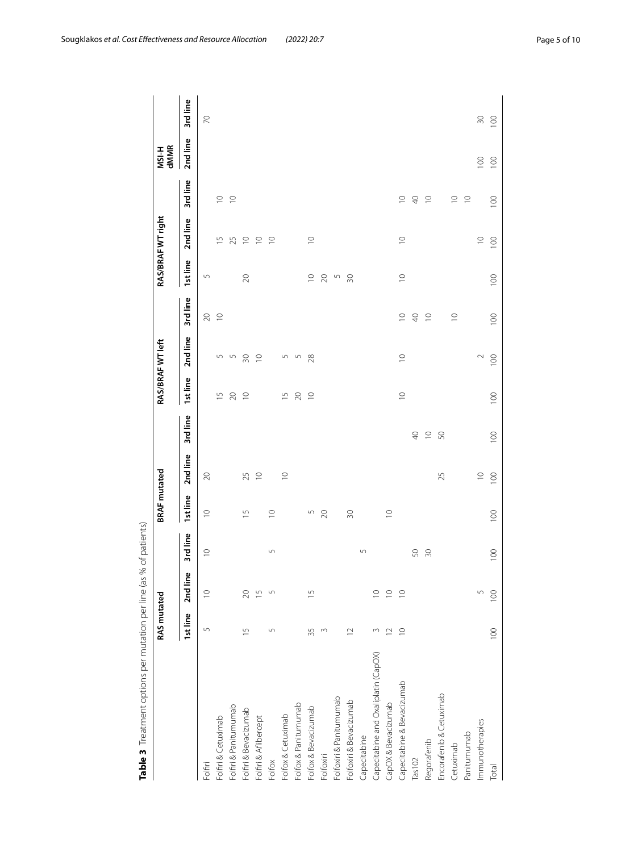|                                      | RAS mutated    |                          |                 | <b>BRAF</b> mutated      |             |             |                | RAS/BRAF WT left |                  |             | RAS/BRAF WT right |                | MSI-H<br>dMMR    |           |
|--------------------------------------|----------------|--------------------------|-----------------|--------------------------|-------------|-------------|----------------|------------------|------------------|-------------|-------------------|----------------|------------------|-----------|
|                                      | 1st line       | 2nd line                 | 3rd line        | Ist line                 | 2nd line    | 3rd line    | 1st line       | 2nd line         | 3rd line         | 1st line    | 2nd line          | 3rd line       | 2nd line         | 3rd line  |
| Folfiri                              | $\cup$         | $\supseteq$              | $\supseteq$     | $\supseteq$              | $\infty$    |             |                |                  | $\gtrsim$        | S           |                   |                |                  | $\approx$ |
| Folfiri & Cetuximab                  |                |                          |                 |                          |             |             | $\overline{5}$ | $\overline{5}$   | $\supseteq$      |             | $\overline{1}$    | $\supseteq$    |                  |           |
| Folfiri & Panitumumab                |                |                          |                 |                          |             |             | $\gtrsim$      | 5                |                  |             | 25                | $\supseteq$    |                  |           |
| Folfiri & Bevacizumab                | $\overline{1}$ | $\infty$                 |                 | $\overline{\phantom{0}}$ | 25          |             | $\supseteq$    | 50               |                  | $\gtrsim$   | $\supseteq$       |                |                  |           |
| Folfiri & Aflibercept                |                | $\overline{1}$           |                 |                          | $\supseteq$ |             |                | $\supseteq$      |                  |             | $\supseteq$       |                |                  |           |
| Folfox                               | $\overline{5}$ | $\sqrt{2}$               | $\overline{5}$  | $\supseteq$              |             |             |                |                  |                  |             | $\supseteq$       |                |                  |           |
| Folfox & Cetuximab                   |                |                          |                 |                          | $\supseteq$ |             | $\overline{1}$ | 5                |                  |             |                   |                |                  |           |
| Folfox & Panitumumab                 |                |                          |                 |                          |             |             | $\gtrsim$      | S                |                  |             |                   |                |                  |           |
| Folfox & Bevacizumab                 | 35             | $\overline{\phantom{0}}$ |                 | 5                        |             |             | $\supseteq$    | 28               |                  | $\supseteq$ | $\supseteq$       |                |                  |           |
| Folfoxiri                            | $\sim$         |                          |                 | 20                       |             |             |                |                  |                  | $\gtrsim$   |                   |                |                  |           |
| Folfoxiri & Panitumumab              |                |                          |                 |                          |             |             |                |                  |                  | S           |                   |                |                  |           |
| Folfoxiri & Bevacizumab              | $\approx$      |                          |                 | $\overline{30}$          |             |             |                |                  |                  | $\approx$   |                   |                |                  |           |
| Capecitabine                         |                |                          | $\cup$          |                          |             |             |                |                  |                  |             |                   |                |                  |           |
| Capecitabine and Oxaliplatin (CapOX) | $\sim$         | $\supseteq$              |                 |                          |             |             |                |                  |                  |             |                   |                |                  |           |
| CapOX & Bevacizumab                  | $\approx$      | $\supseteq$              |                 | $\supseteq$              |             |             |                |                  |                  |             |                   |                |                  |           |
| Capecitabine & Bevacizumab           | $\supseteq$    | $\supseteq$              |                 |                          |             |             | $\supseteq$    | $\supseteq$      | $\supseteq$      | $\supseteq$ | $\subseteq$       | $\supseteq$    |                  |           |
| Tas102                               |                |                          | 50              |                          |             | $\bigoplus$ |                |                  | $\overline{P}$   |             |                   | $\overline{4}$ |                  |           |
| Regorafenib                          |                |                          | $\overline{50}$ |                          |             | $\supseteq$ |                |                  | $\supseteq$      |             |                   | $\supseteq$    |                  |           |
| Encorafenib & Cetuximab              |                |                          |                 |                          | 25          | S           |                |                  |                  |             |                   |                |                  |           |
| Cetuximab                            |                |                          |                 |                          |             |             |                |                  | $\supseteq$      |             |                   | $\supseteq$    |                  |           |
| Panitumumab                          |                |                          |                 |                          |             |             |                |                  |                  |             |                   | $\supseteq$    |                  |           |
| Immunotherapies                      |                | 5                        |                 |                          | $\supseteq$ |             |                | $\sim$           |                  |             | $\supseteq$       |                | 100              | $\approx$ |
| Total                                | 100            | 100                      | 100             | 100                      | 100         | 100         | 100            | $\overline{100}$ | $\overline{100}$ | 100         | 100               | 100            | $\overline{100}$ | 100       |
|                                      |                |                          |                 |                          |             |             |                |                  |                  |             |                   |                |                  |           |

<span id="page-4-0"></span>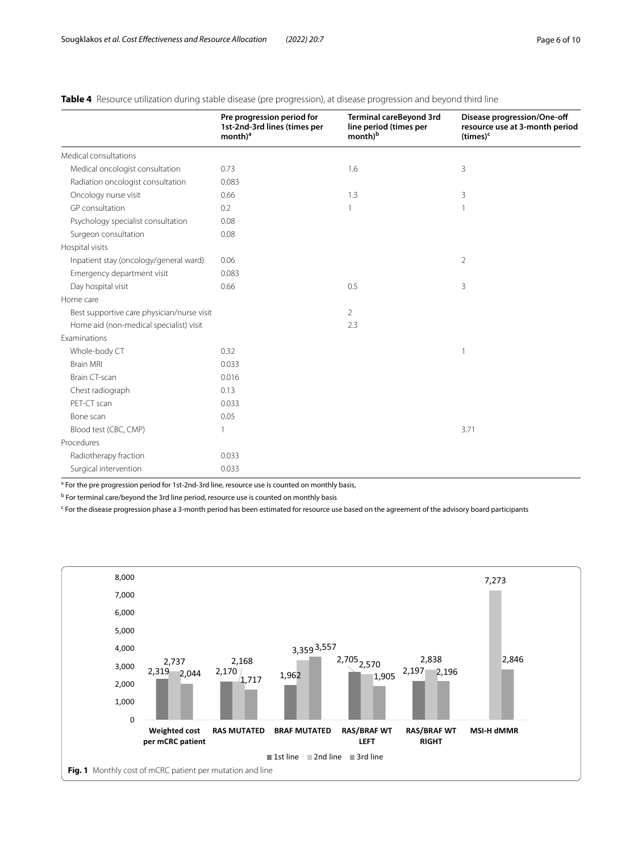|                                            | Pre progression period for<br>1st-2nd-3rd lines (times per<br>$month)^a$ | Terminal careBeyond 3rd<br>line period (times per<br>month) <sup>b</sup> | Disease progression/One-off<br>resource use at 3-month period<br>$(times)^c$ |
|--------------------------------------------|--------------------------------------------------------------------------|--------------------------------------------------------------------------|------------------------------------------------------------------------------|
| Medical consultations                      |                                                                          |                                                                          |                                                                              |
| Medical oncologist consultation            | 0.73                                                                     | 1.6                                                                      | 3                                                                            |
| Radiation oncologist consultation          | 0.083                                                                    |                                                                          |                                                                              |
| Oncology nurse visit                       | 0.66                                                                     | 1.3                                                                      | 3                                                                            |
| GP consultation                            | 0.2                                                                      |                                                                          | $\mathbf{1}$                                                                 |
| Psychology specialist consultation         | 0.08                                                                     |                                                                          |                                                                              |
| Surgeon consultation                       | 0.08                                                                     |                                                                          |                                                                              |
| Hospital visits                            |                                                                          |                                                                          |                                                                              |
| Inpatient stay (oncology/general ward)     | 0.06                                                                     |                                                                          | 2                                                                            |
| Emergency department visit                 | 0.083                                                                    |                                                                          |                                                                              |
| Day hospital visit                         | 0.66                                                                     | 0.5                                                                      | 3                                                                            |
| Home care                                  |                                                                          |                                                                          |                                                                              |
| Best supportive care physician/nurse visit |                                                                          | $\overline{2}$                                                           |                                                                              |
| Home aid (non-medical specialist) visit    |                                                                          | 2.3                                                                      |                                                                              |
| <b>Examinations</b>                        |                                                                          |                                                                          |                                                                              |
| Whole-body CT                              | 0.32                                                                     |                                                                          | 1                                                                            |
| <b>Brain MRI</b>                           | 0.033                                                                    |                                                                          |                                                                              |
| <b>Brain CT-scan</b>                       | 0.016                                                                    |                                                                          |                                                                              |
| Chest radiograph                           | 0.13                                                                     |                                                                          |                                                                              |
| PET-CT scan                                | 0.033                                                                    |                                                                          |                                                                              |
| Bone scan                                  | 0.05                                                                     |                                                                          |                                                                              |
| Blood test (CBC, CMP)                      | 1                                                                        |                                                                          | 3.71                                                                         |
| Procedures                                 |                                                                          |                                                                          |                                                                              |
| Radiotherapy fraction                      | 0.033                                                                    |                                                                          |                                                                              |
| Surgical intervention                      | 0.033                                                                    |                                                                          |                                                                              |

# <span id="page-5-0"></span>**Table 4** Resource utilization during stable disease (pre progression), at disease progression and beyond third line

<sup>a</sup> For the pre progression period for 1st-2nd-3rd line, resource use is counted on monthly basis,

<sup>b</sup> For terminal care/beyond the 3rd line period, resource use is counted on monthly basis

<sup>c</sup> For the disease progression phase a 3-month period has been estimated for resource use based on the agreement of the advisory board participants

<span id="page-5-1"></span>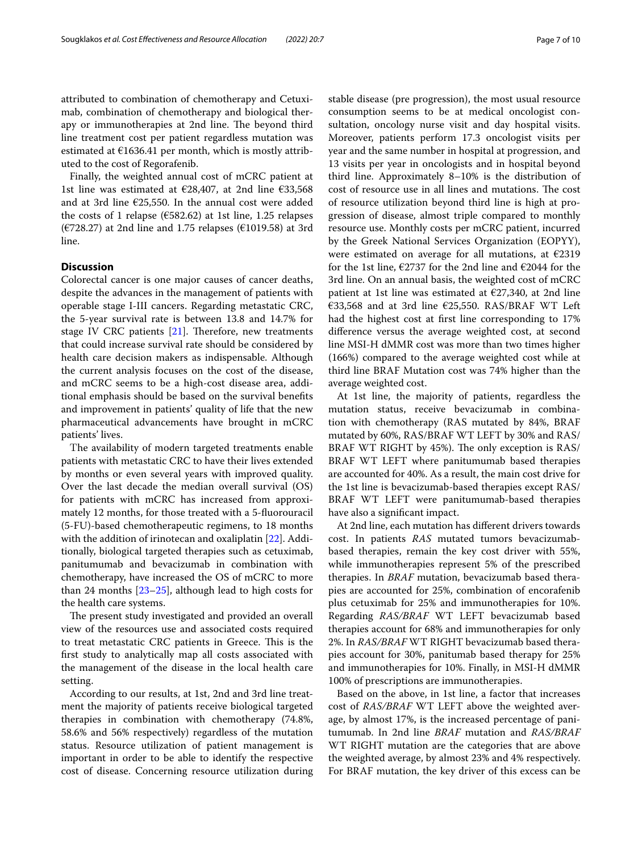attributed to combination of chemotherapy and Cetuximab, combination of chemotherapy and biological therapy or immunotherapies at 2nd line. The beyond third line treatment cost per patient regardless mutation was estimated at  $£1636.41$  per month, which is mostly attributed to the cost of Regorafenib.

Finally, the weighted annual cost of mCRC patient at 1st line was estimated at €28,407, at 2nd line €33,568 and at 3rd line €25,550. In the annual cost were added the costs of 1 relapse ( $\epsilon$ 582.62) at 1st line, 1.25 relapses (€728.27) at 2nd line and 1.75 relapses (€1019.58) at 3rd line.

# **Discussion**

Colorectal cancer is one major causes of cancer deaths, despite the advances in the management of patients with operable stage I-III cancers. Regarding metastatic CRC, the 5-year survival rate is between 13.8 and 14.7% for stage IV CRC patients  $[21]$  $[21]$  $[21]$ . Therefore, new treatments that could increase survival rate should be considered by health care decision makers as indispensable. Although the current analysis focuses on the cost of the disease, and mCRC seems to be a high-cost disease area, additional emphasis should be based on the survival benefts and improvement in patients' quality of life that the new pharmaceutical advancements have brought in mCRC patients' lives.

Τhe availability of modern targeted treatments enable patients with metastatic CRC to have their lives extended by months or even several years with improved quality. Over the last decade the median overall survival (OS) for patients with mCRC has increased from approximately 12 months, for those treated with a 5-fuorouracil (5-FU)-based chemotherapeutic regimens, to 18 months with the addition of irinotecan and oxaliplatin [\[22](#page-9-1)]. Additionally, biological targeted therapies such as cetuximab, panitumumab and bevacizumab in combination with chemotherapy, have increased the OS of mCRC to more than 24 months  $[23-25]$  $[23-25]$  $[23-25]$ , although lead to high costs for the health care systems.

The present study investigated and provided an overall view of the resources use and associated costs required to treat metastatic CRC patients in Greece. This is the frst study to analytically map all costs associated with the management of the disease in the local health care setting.

According to our results, at 1st, 2nd and 3rd line treatment the majority of patients receive biological targeted therapies in combination with chemotherapy (74.8%, 58.6% and 56% respectively) regardless of the mutation status. Resource utilization of patient management is important in order to be able to identify the respective cost of disease. Concerning resource utilization during stable disease (pre progression), the most usual resource consumption seems to be at medical oncologist consultation, oncology nurse visit and day hospital visits. Moreover, patients perform 17.3 oncologist visits per year and the same number in hospital at progression, and 13 visits per year in oncologists and in hospital beyond third line. Approximately 8–10% is the distribution of cost of resource use in all lines and mutations. The cost of resource utilization beyond third line is high at progression of disease, almost triple compared to monthly resource use. Monthly costs per mCRC patient, incurred by the Greek National Services Organization (EOPYY), were estimated on average for all mutations, at €2319 for the 1st line,  $\epsilon$ 2737 for the 2nd line and  $\epsilon$ 2044 for the 3rd line. On an annual basis, the weighted cost of mCRC patient at 1st line was estimated at €27,340, at 2nd line €33,568 and at 3rd line €25,550. RAS/BRAF WT Left had the highest cost at frst line corresponding to 17% diference versus the average weighted cost, at second line MSI-H dMMR cost was more than two times higher (166%) compared to the average weighted cost while at third line BRAF Mutation cost was 74% higher than the average weighted cost.

At 1st line, the majority of patients, regardless the mutation status, receive bevacizumab in combination with chemotherapy (RAS mutated by 84%, BRAF mutated by 60%, RAS/BRAF WT LEFT by 30% and RAS/ BRAF WT RIGHT by 45%). The only exception is RAS/ BRAF WT LEFT where panitumumab based therapies are accounted for 40%. As a result, the main cost drive for the 1st line is bevacizumab-based therapies except RAS/ BRAF WT LEFT were panitumumab-based therapies have also a signifcant impact.

At 2nd line, each mutation has diferent drivers towards cost. In patients *RAS* mutated tumors bevacizumabbased therapies, remain the key cost driver with 55%, while immunotherapies represent 5% of the prescribed therapies. In *BRAF* mutation, bevacizumab based therapies are accounted for 25%, combination of encorafenib plus cetuximab for 25% and immunotherapies for 10%. Regarding *RAS/BRAF* WT LEFT bevacizumab based therapies account for 68% and immunotherapies for only 2%. In *RAS/BRAF* WT RIGHT bevacizumab based therapies account for 30%, panitumab based therapy for 25% and immunotherapies for 10%. Finally, in MSI-H dMMR 100% of prescriptions are immunotherapies.

Based on the above, in 1st line, a factor that increases cost of *RAS/BRAF* WT LEFT above the weighted average, by almost 17%, is the increased percentage of panitumumab. In 2nd line *BRAF* mutation and *RAS/BRAF* WT RIGHT mutation are the categories that are above the weighted average, by almost 23% and 4% respectively. For BRAF mutation, the key driver of this excess can be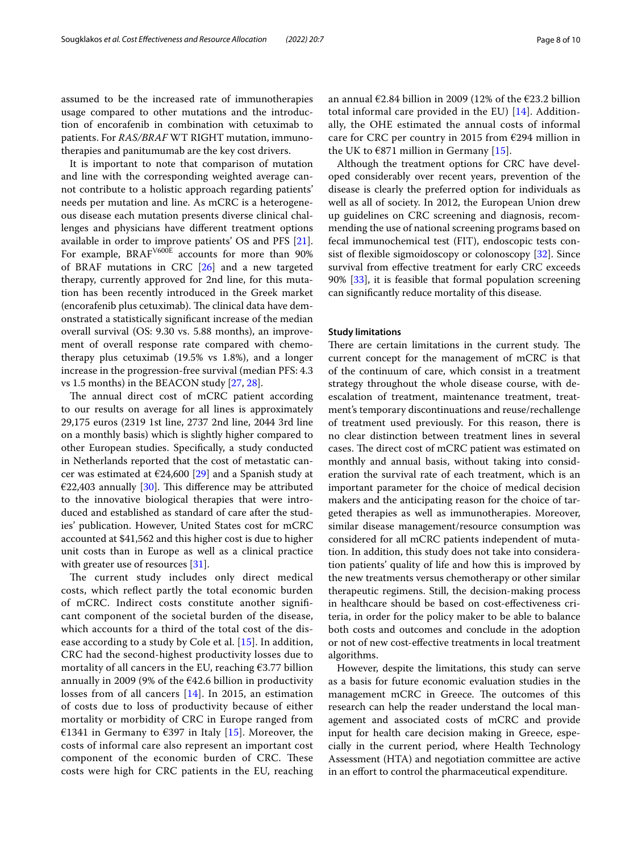assumed to be the increased rate of immunotherapies usage compared to other mutations and the introduction of encorafenib in combination with cetuximab to patients. For *RAS/BRAF* WT RIGHT mutation, immunotherapies and panitumumab are the key cost drivers.

It is important to note that comparison of mutation and line with the corresponding weighted average cannot contribute to a holistic approach regarding patients' needs per mutation and line. As mCRC is a heterogeneous disease each mutation presents diverse clinical challenges and physicians have diferent treatment options available in order to improve patients' OS and PFS [\[21](#page-9-0)]. For example, BRAF<sup>V600E</sup> accounts for more than 90% of BRAF mutations in CRC [[26\]](#page-9-4) and a new targeted therapy, currently approved for 2nd line, for this mutation has been recently introduced in the Greek market (encorafenib plus cetuximab). The clinical data have demonstrated a statistically signifcant increase of the median overall survival (OS: 9.30 vs. 5.88 months), an improvement of overall response rate compared with chemotherapy plus cetuximab (19.5% vs 1.8%), and a longer increase in the progression-free survival (median PFS: 4.3 vs 1.5 months) in the BEACON study [[27](#page-9-5), [28\]](#page-9-6).

The annual direct cost of mCRC patient according to our results on average for all lines is approximately 29,175 euros (2319 1st line, 2737 2nd line, 2044 3rd line on a monthly basis) which is slightly higher compared to other European studies. Specifcally, a study conducted in Netherlands reported that the cost of metastatic cancer was estimated at  $\epsilon$ 24,600 [[29](#page-9-7)] and a Spanish study at €22,403 annually [\[30\]](#page-9-8). This difference may be attributed to the innovative biological therapies that were introduced and established as standard of care after the studies' publication. However, United States cost for mCRC accounted at \$41,562 and this higher cost is due to higher unit costs than in Europe as well as a clinical practice with greater use of resources [\[31\]](#page-9-9).

The current study includes only direct medical costs, which refect partly the total economic burden of mCRC. Indirect costs constitute another signifcant component of the societal burden of the disease, which accounts for a third of the total cost of the disease according to a study by Cole et al. [[15\]](#page-8-14). In addition, CRC had the second-highest productivity losses due to mortality of all cancers in the EU, reaching  $€3.77$  billion annually in 2009 (9% of the  $\epsilon$ 42.6 billion in productivity losses from of all cancers [[14\]](#page-8-13). In 2015, an estimation of costs due to loss of productivity because of either mortality or morbidity of CRC in Europe ranged from €1341 in Germany to €397 in Italy [[15\]](#page-8-14). Moreover, the costs of informal care also represent an important cost component of the economic burden of CRC. These costs were high for CRC patients in the EU, reaching an annual  $\epsilon$ 2.84 billion in 2009 (12% of the  $\epsilon$ 23.2 billion total informal care provided in the EU) [[14\]](#page-8-13). Additionally, the OHE estimated the annual costs of informal care for CRC per country in 2015 from  $E$ 294 million in the UK to  $6871$  million in Germany [\[15](#page-8-14)].

Although the treatment options for CRC have developed considerably over recent years, prevention of the disease is clearly the preferred option for individuals as well as all of society. In 2012, the European Union drew up guidelines on CRC screening and diagnosis, recommending the use of national screening programs based on fecal immunochemical test (FIT), endoscopic tests consist of flexible sigmoidoscopy or colonoscopy  $[32]$  $[32]$ . Since survival from efective treatment for early CRC exceeds 90% [\[33](#page-9-11)], it is feasible that formal population screening can signifcantly reduce mortality of this disease.

## **Study limitations**

There are certain limitations in the current study. The current concept for the management of mCRC is that of the continuum of care, which consist in a treatment strategy throughout the whole disease course, with deescalation of treatment, maintenance treatment, treatment's temporary discontinuations and reuse/rechallenge of treatment used previously. For this reason, there is no clear distinction between treatment lines in several cases. The direct cost of mCRC patient was estimated on monthly and annual basis, without taking into consideration the survival rate of each treatment, which is an important parameter for the choice of medical decision makers and the anticipating reason for the choice of targeted therapies as well as immunotherapies. Moreover, similar disease management/resource consumption was considered for all mCRC patients independent of mutation. In addition, this study does not take into consideration patients' quality of life and how this is improved by the new treatments versus chemotherapy or other similar therapeutic regimens. Still, the decision-making process in healthcare should be based on cost-efectiveness criteria, in order for the policy maker to be able to balance both costs and outcomes and conclude in the adoption or not of new cost-efective treatments in local treatment algorithms.

However, despite the limitations, this study can serve as a basis for future economic evaluation studies in the management mCRC in Greece. The outcomes of this research can help the reader understand the local management and associated costs of mCRC and provide input for health care decision making in Greece, especially in the current period, where Health Technology Assessment (HTA) and negotiation committee are active in an efort to control the pharmaceutical expenditure.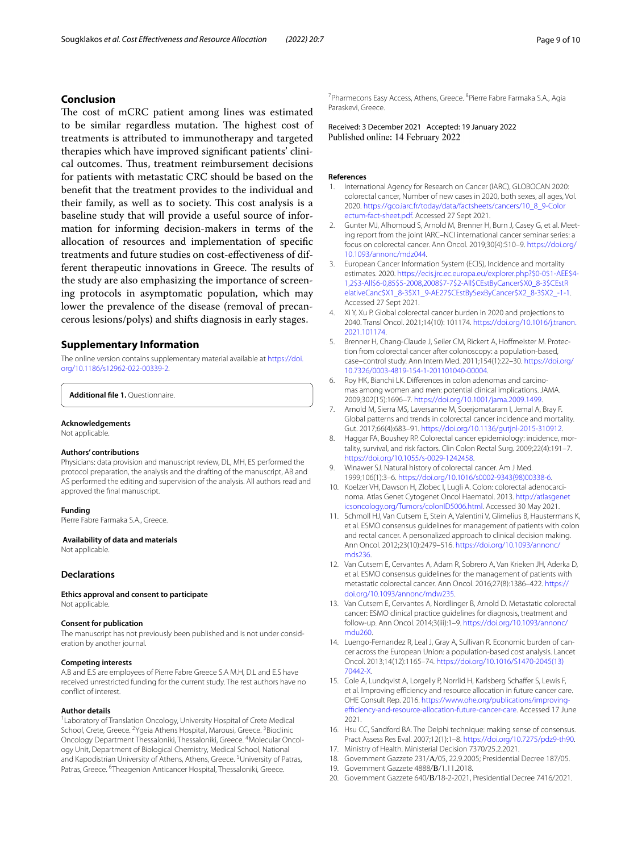# **Conclusion**

The cost of mCRC patient among lines was estimated to be similar regardless mutation. The highest cost of treatments is attributed to immunotherapy and targeted therapies which have improved signifcant patients' clinical outcomes. Thus, treatment reimbursement decisions for patients with metastatic CRC should be based on the beneft that the treatment provides to the individual and their family, as well as to society. This cost analysis is a baseline study that will provide a useful source of information for informing decision-makers in terms of the allocation of resources and implementation of specifc treatments and future studies on cost-efectiveness of different therapeutic innovations in Greece. The results of the study are also emphasizing the importance of screening protocols in asymptomatic population, which may lower the prevalence of the disease (removal of precancerous lesions/polys) and shifts diagnosis in early stages.

# **Supplementary Information**

The online version contains supplementary material available at [https://doi.](https://doi.org/10.1186/s12962-022-00339-2) [org/10.1186/s12962-022-00339-2](https://doi.org/10.1186/s12962-022-00339-2).

<span id="page-8-15"></span>**Additional fle 1.** Questionnaire.

#### **Acknowledgements**

Not applicable.

### **Authors' contributions**

Physicians: data provision and manuscript review, DL, MH, ES performed the protocol preparation, the analysis and the drafting of the manuscript, AB and AS performed the editing and supervision of the analysis. All authors read and approved the fnal manuscript.

#### **Funding**

Pierre Fabre Farmaka S.A., Greece.

 **Availability of data and materials**

Not applicable.

# **Declarations**

**Ethics approval and consent to participate** Not applicable.

#### **Consent for publication**

The manuscript has not previously been published and is not under consideration by another journal.

#### **Competing interests**

A.B and E.S are employees of Pierre Fabre Greece S.A M.H, D.L and E.S have received unrestricted funding for the current study. The rest authors have no confict of interest.

#### **Author details**

<sup>1</sup> Laboratory of Translation Oncology, University Hospital of Crete Medical School, Crete, Greece. <sup>2</sup>Ygeia Athens Hospital, Marousi, Greece. <sup>3</sup>Bioclinic Oncology Department Thessaloniki, Thessaloniki, Greece. <sup>4</sup>Molecular Oncology Unit, Department of Biological Chemistry, Medical School, National and Kapodistrian University of Athens, Athens, Greece. <sup>5</sup>University of Patras, Patras, Greece. <sup>6</sup>Theagenion Anticancer Hospital, Thessaloniki, Greece.

<sup>7</sup> Pharmecons Easy Access, Athens, Greece. <sup>8</sup> Pierre Fabre Farmaka S.A., Agia Paraskevi, Greece.

Received: 3 December 2021 Accepted: 19 January 2022<br>Published online: 14 February 2022

#### **References**

- <span id="page-8-0"></span>1. International Agency for Research on Cancer (IARC), GLOBOCAN 2020: colorectal cancer, Number of new cases in 2020, both sexes, all ages, Vol. 2020. [https://gco.iarc.fr/today/data/factsheets/cancers/10\\_8\\_9-Color](https://gco.iarc.fr/today/data/factsheets/cancers/10_8_9-Colorectum-fact-sheet.pdf) [ectum-fact-sheet.pdf](https://gco.iarc.fr/today/data/factsheets/cancers/10_8_9-Colorectum-fact-sheet.pdf). Accessed 27 Sept 2021.
- <span id="page-8-1"></span>2. Gunter MJ, Alhomoud S, Arnold M, Brenner H, Burn J, Casey G, et al. Meeting report from the joint IARC–NCI international cancer seminar series: a focus on colorectal cancer. Ann Oncol. 2019;30(4):510–9. [https://doi.org/](https://doi.org/10.1093/annonc/mdz044) [10.1093/annonc/mdz044](https://doi.org/10.1093/annonc/mdz044).
- <span id="page-8-2"></span>3. European Cancer Information System (ECIS), Incidence and mortality estimates. 2020. [https://ecis.jrc.ec.europa.eu/explorer.php?\\$0-0\\$1-AEE\\$4-](https://ecis.jrc.ec.europa.eu/explorer.php?$0-0$1-AEE$4-1,2$3-All$6-0,85$5-2008,2008$7-7$2-All$CEstByCancer$X0_8-3$CEstRelativeCanc$X1_8-3$X1_9-AE27$CEstBySexByCancer$X2_8-3$X2_-1-1) [1,2\\$3-All\\$6-0,85\\$5-2008,2008\\$7-7\\$2-All\\$CEstByCancer\\$X0\\_8-3\\$CEstR](https://ecis.jrc.ec.europa.eu/explorer.php?$0-0$1-AEE$4-1,2$3-All$6-0,85$5-2008,2008$7-7$2-All$CEstByCancer$X0_8-3$CEstRelativeCanc$X1_8-3$X1_9-AE27$CEstBySexByCancer$X2_8-3$X2_-1-1) [elativeCanc\\$X1\\_8-3\\$X1\\_9-AE27\\$CEstBySexByCancer\\$X2\\_8-3\\$X2\\_-1-1.](https://ecis.jrc.ec.europa.eu/explorer.php?$0-0$1-AEE$4-1,2$3-All$6-0,85$5-2008,2008$7-7$2-All$CEstByCancer$X0_8-3$CEstRelativeCanc$X1_8-3$X1_9-AE27$CEstBySexByCancer$X2_8-3$X2_-1-1) Accessed 27 Sept 2021.
- <span id="page-8-3"></span>Xi Y, Xu P. Global colorectal cancer burden in 2020 and projections to 2040. Transl Oncol. 2021;14(10): 101174. [https://doi.org/10.1016/j.tranon.](https://doi.org/10.1016/j.tranon.2021.101174) [2021.101174.](https://doi.org/10.1016/j.tranon.2021.101174)
- <span id="page-8-4"></span>5. Brenner H, Chang-Claude J, Seiler CM, Rickert A, Hofmeister M. Protection from colorectal cancer after colonoscopy: a population-based, case–control study. Ann Intern Med. 2011;154(1):22–30. [https://doi.org/](https://doi.org/10.7326/0003-4819-154-1-201101040-00004) [10.7326/0003-4819-154-1-201101040-00004.](https://doi.org/10.7326/0003-4819-154-1-201101040-00004)
- <span id="page-8-5"></span>6. Roy HK, Bianchi LK. Diferences in colon adenomas and carcinomas among women and men: potential clinical implications. JAMA. 2009;302(15):1696–7. [https://doi.org/10.1001/jama.2009.1499.](https://doi.org/10.1001/jama.2009.1499)
- <span id="page-8-6"></span>7. Arnold M, Sierra MS, Laversanne M, Soerjomataram I, Jemal A, Bray F. Global patterns and trends in colorectal cancer incidence and mortality. Gut. 2017;66(4):683–91. <https://doi.org/10.1136/gutjnl-2015-310912>.
- <span id="page-8-7"></span>8. Haggar FA, Boushey RP. Colorectal cancer epidemiology: incidence, mortality, survival, and risk factors. Clin Colon Rectal Surg. 2009;22(4):191–7. <https://doi.org/10.1055/s-0029-1242458>.
- <span id="page-8-8"></span>9. Winawer SJ. Natural history of colorectal cancer. Am J Med. 1999;106(1):3–6. [https://doi.org/10.1016/s0002-9343\(98\)00338-6](https://doi.org/10.1016/s0002-9343(98)00338-6).
- <span id="page-8-9"></span>10. Koelzer VH, Dawson H, Zlobec I, Lugli A. Colon: colorectal adenocarcinoma. Atlas Genet Cytogenet Oncol Haematol. 2013. [http://atlasgenet](http://atlasgeneticsoncology.org/Tumors/colonID5006.html) [icsoncology.org/Tumors/colonID5006.html.](http://atlasgeneticsoncology.org/Tumors/colonID5006.html) Accessed 30 May 2021.
- <span id="page-8-10"></span>11. Schmoll HJ, Van Cutsem E, Stein A, Valentini V, Glimelius B, Haustermans K, et al. ESMO consensus guidelines for management of patients with colon and rectal cancer. A personalized approach to clinical decision making. Ann Oncol. 2012;23(10):2479–516. [https://doi.org/10.1093/annonc/](https://doi.org/10.1093/annonc/mds236) [mds236.](https://doi.org/10.1093/annonc/mds236)
- <span id="page-8-11"></span>12. Van Cutsem E, Cervantes A, Adam R, Sobrero A, Van Krieken JH, Aderka D, et al. ESMO consensus guidelines for the management of patients with metastatic colorectal cancer. Ann Oncol. 2016;27(8):1386–422. [https://](https://doi.org/10.1093/annonc/mdw235) [doi.org/10.1093/annonc/mdw235](https://doi.org/10.1093/annonc/mdw235).
- <span id="page-8-12"></span>13. Van Cutsem E, Cervantes A, Nordlinger B, Arnold D. Metastatic colorectal cancer: ESMO clinical practice guidelines for diagnosis, treatment and follow-up. Ann Oncol. 2014;3(iii):1–9. [https://doi.org/10.1093/annonc/](https://doi.org/10.1093/annonc/mdu260) [mdu260.](https://doi.org/10.1093/annonc/mdu260)
- <span id="page-8-13"></span>14. Luengo-Fernandez R, Leal J, Gray A, Sullivan R. Economic burden of cancer across the European Union: a population-based cost analysis. Lancet Oncol. 2013;14(12):1165–74. [https://doi.org/10.1016/S1470-2045\(13\)](https://doi.org/10.1016/S1470-2045(13)70442-X) [70442-X](https://doi.org/10.1016/S1470-2045(13)70442-X).
- <span id="page-8-14"></span>15. Cole A, Lundqvist A, Lorgelly P, Norrlid H, Karlsberg Schaffer S, Lewis F, et al. Improving efficiency and resource allocation in future cancer care. OHE Consult Rep. 2016. [https://www.ohe.org/publications/improving](https://www.ohe.org/publications/improving-efficiency-and-resource-allocation-future-cancer-care)efficiency-and-resource-allocation-future-cancer-care. Accessed 17 June 2021.
- <span id="page-8-16"></span>16. Hsu CC, Sandford BA. The Delphi technique: making sense of consensus. Pract Assess Res Eval. 2007;12(1):1–8. [https://doi.org/10.7275/pdz9-th90.](https://doi.org/10.7275/pdz9-th90)
- <span id="page-8-17"></span>17. Ministry of Health. Ministerial Decision 7370/25.2.2021.
- <span id="page-8-19"></span><span id="page-8-18"></span>18. Government Gazzete 231/Α/05, 22.9.2005; Presidential Decree 187/05. 19. Government Gazzete 4888/Β/1.11.2018.
- 
- <span id="page-8-20"></span>20. Government Gazzete 640/Β/18-2-2021, Presidential Decree 7416/2021.